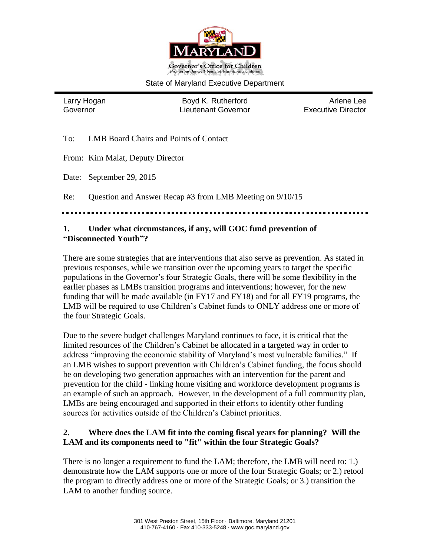

#### State of Maryland Executive Department

Larry Hogan **Boyd K. Rutherford** Arlene Lee Governor Lieutenant Governor Executive Director

To: LMB Board Chairs and Points of Contact

From: Kim Malat, Deputy Director

Date: September 29, 2015

Re: Question and Answer Recap #3 from LMB Meeting on 9/10/15

#### **1. Under what circumstances, if any, will GOC fund prevention of "Disconnected Youth"?**

There are some strategies that are interventions that also serve as prevention. As stated in previous responses, while we transition over the upcoming years to target the specific populations in the Governor's four Strategic Goals, there will be some flexibility in the earlier phases as LMBs transition programs and interventions; however, for the new funding that will be made available (in FY17 and FY18) and for all FY19 programs, the LMB will be required to use Children's Cabinet funds to ONLY address one or more of the four Strategic Goals.

Due to the severe budget challenges Maryland continues to face, it is critical that the limited resources of the Children's Cabinet be allocated in a targeted way in order to address "improving the economic stability of Maryland's most vulnerable families." If an LMB wishes to support prevention with Children's Cabinet funding, the focus should be on developing two generation approaches with an intervention for the parent and prevention for the child - linking home visiting and workforce development programs is an example of such an approach. However, in the development of a full community plan, LMBs are being encouraged and supported in their efforts to identify other funding sources for activities outside of the Children's Cabinet priorities.

## **2. Where does the LAM fit into the coming fiscal years for planning? Will the LAM and its components need to "fit" within the four Strategic Goals?**

There is no longer a requirement to fund the LAM; therefore, the LMB will need to: 1.) demonstrate how the LAM supports one or more of the four Strategic Goals; or 2.) retool the program to directly address one or more of the Strategic Goals; or 3.) transition the LAM to another funding source.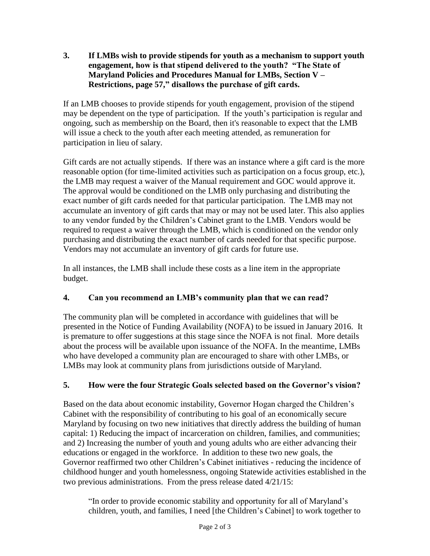**3. If LMBs wish to provide stipends for youth as a mechanism to support youth engagement, how is that stipend delivered to the youth? "The State of Maryland Policies and Procedures Manual for LMBs, Section V – Restrictions, page 57," disallows the purchase of gift cards.**

If an LMB chooses to provide stipends for youth engagement, provision of the stipend may be dependent on the type of participation. If the youth's participation is regular and ongoing, such as membership on the Board, then it's reasonable to expect that the LMB will issue a check to the youth after each meeting attended, as remuneration for participation in lieu of salary.

Gift cards are not actually stipends. If there was an instance where a gift card is the more reasonable option (for time-limited activities such as participation on a focus group, etc.), the LMB may request a waiver of the Manual requirement and GOC would approve it. The approval would be conditioned on the LMB only purchasing and distributing the exact number of gift cards needed for that particular participation. The LMB may not accumulate an inventory of gift cards that may or may not be used later. This also applies to any vendor funded by the Children's Cabinet grant to the LMB. Vendors would be required to request a waiver through the LMB, which is conditioned on the vendor only purchasing and distributing the exact number of cards needed for that specific purpose. Vendors may not accumulate an inventory of gift cards for future use.

In all instances, the LMB shall include these costs as a line item in the appropriate budget.

# **4. Can you recommend an LMB's community plan that we can read?**

The community plan will be completed in accordance with guidelines that will be presented in the Notice of Funding Availability (NOFA) to be issued in January 2016. It is premature to offer suggestions at this stage since the NOFA is not final. More details about the process will be available upon issuance of the NOFA. In the meantime, LMBs who have developed a community plan are encouraged to share with other LMBs, or LMBs may look at community plans from jurisdictions outside of Maryland.

# **5. How were the four Strategic Goals selected based on the Governor's vision?**

Based on the data about economic instability, Governor Hogan charged the Children's Cabinet with the responsibility of contributing to his goal of an economically secure Maryland by focusing on two new initiatives that directly address the building of human capital: 1) Reducing the impact of incarceration on children, families, and communities; and 2) Increasing the number of youth and young adults who are either advancing their educations or engaged in the workforce. In addition to these two new goals, the Governor reaffirmed two other Children's Cabinet initiatives - reducing the incidence of childhood hunger and youth homelessness, ongoing Statewide activities established in the two previous administrations. From the press release dated 4/21/15:

"In order to provide economic stability and opportunity for all of Maryland's children, youth, and families, I need [the Children's Cabinet] to work together to